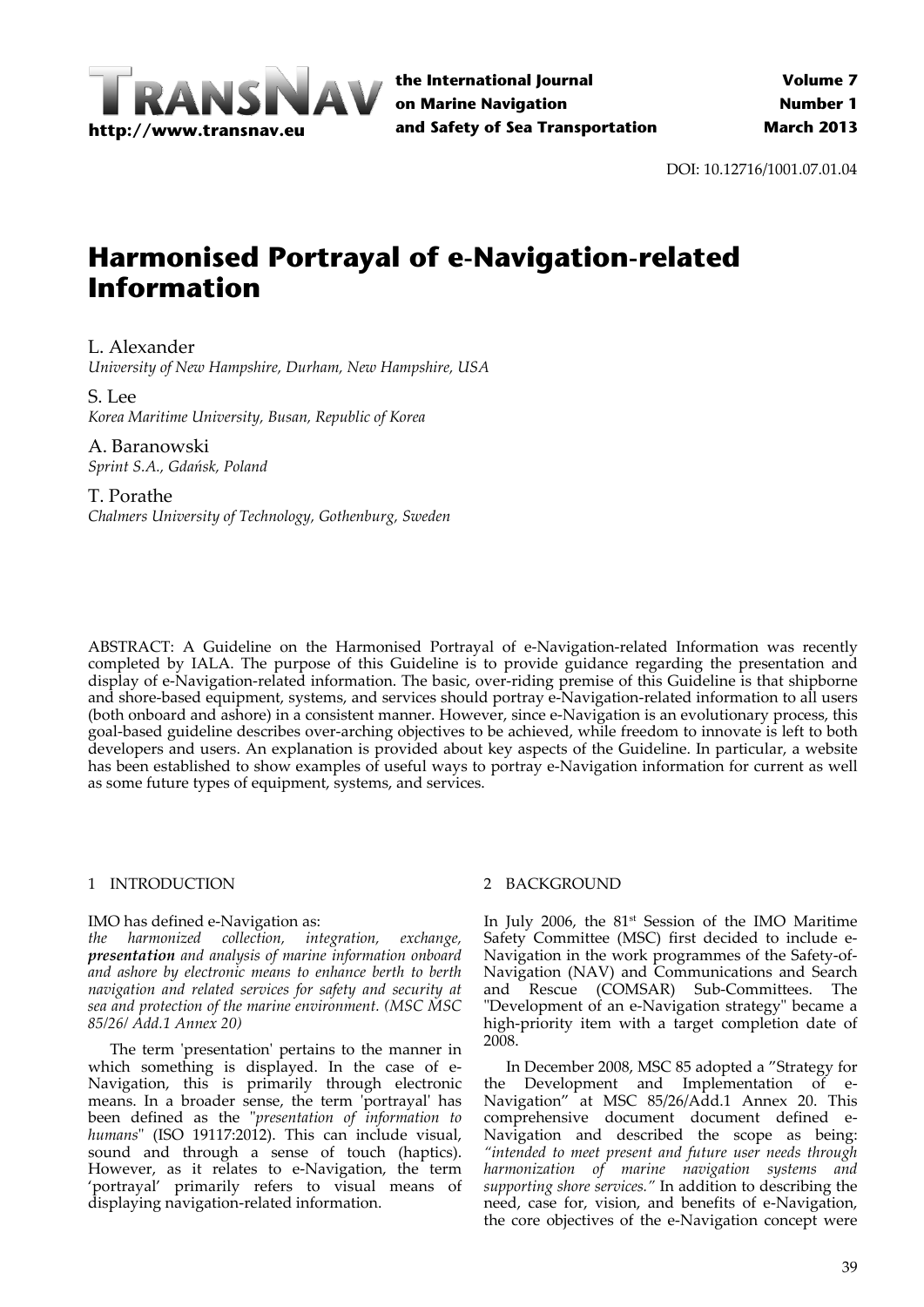

DOI: 10.12716/1001.07.01.04

# **Harmonised Portrayal of e-Navigation-related Information**

# L. Alexander

*University of New Hampshire, Durham, New Hampshire, USA*

# S. Lee *Korea Maritime University, Busan, Republic of Korea*

A. Baranowski *Sprint S.A., Gdańsk, Poland*

T. Porathe *Chalmers University of Technology, Gothenburg, Sweden*

ABSTRACT: A Guideline on the Harmonised Portrayal of e‐Navigation‐related Information was recently completed by IALA. The purpose of this Guideline is to provide guidance regarding the presentation and display of e‐Navigation‐related information. The basic, over‐riding premise of this Guideline is that shipborne and shore‐based equipment, systems, and services should portray e‐Navigation‐related information to all users (both onboard and ashore) in a consistent manner. However, since e‐Navigation is an evolutionary process, this goal‐based guideline describes over‐arching objectives to be achieved, while freedom to innovate is left to both developers and users. An explanation is provided about key aspects of the Guideline. In particular, a website has been established to show examples of useful ways to portray e‐Navigation information for current as well as some future types of equipment, systems, and services.

# 1 INTRODUCTION

# IMO has defined e‐Navigation as:

*the harmonized collection, integration, exchange, presentation and analysis of marine information onboard and ashore by electronic means to enhance berth to berth navigation and related services for safety and security at sea and protection of the marine environment. (MSC MSC 85/26/ Add.1 Annex 20)*

The term 'presentation' pertains to the manner in which something is displayed. In the case of e-Navigation, this is primarily through electronic means. In a broader sense, the term 'portrayal' has been defined as the ʺ*presentation of information to* humans" (ISO 19117:2012). This can include visual, sound and through a sense of touch (haptics). However, as it relates to e‐Navigation, the term 'portrayal' primarily refers to visual means of displaying navigation‐related information.

# 2 BACKGROUND

In July 2006, the 81<sup>st</sup> Session of the IMO Maritime Safety Committee (MSC) first decided to include e‐ Navigation in the work programmes of the Safety‐of‐ Navigation (NAV) and Communications and Search and Rescue (COMSAR) Sub‐Committees. The "Development of an e-Navigation strategy" became a high-priority item with a target completion date of 2008.

In December 2008, MSC 85 adopted a "Strategy for the Development and Implementation of e‐ Navigation" at MSC 85/26/Add.1 Annex 20. This comprehensive document document defined e‐ Navigation and described the scope as being: *"intended to meet present and future user needs through harmonization of marine navigation systems and supporting shore services."* In addition to describing the need, case for, vision, and benefits of e‐Navigation, the core objectives of the e‐Navigation concept were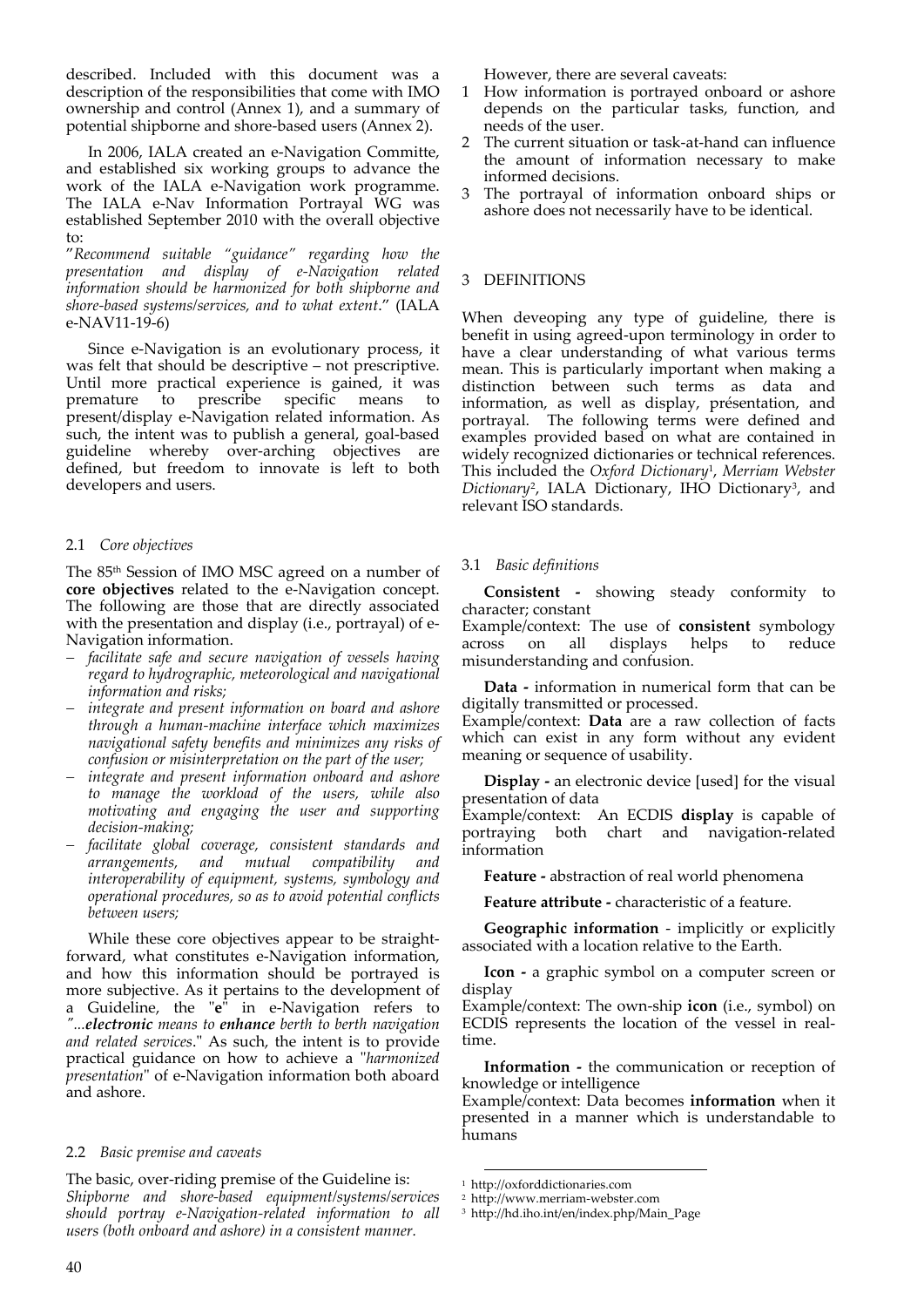described. Included with this document was a description of the responsibilities that come with IMO ownership and control (Annex 1), and a summary of potential shipborne and shore‐based users (Annex 2).

In 2006, IALA created an e‐Navigation Committe, and established six working groups to advance the work of the IALA e‐Navigation work programme. The IALA e‐Nav Information Portrayal WG was established September 2010 with the overall objective to:

"*Recommend suitable "guidance" regarding how the presentation and display of e‐Navigation related information should be harmonized for both shipborne and shore‐based systems/services, and to what extent*." (IALA e‐NAV11‐19‐6)

Since e‐Navigation is an evolutionary process, it was felt that should be descriptive – not prescriptive. Until more practical experience is gained, it was<br>premature to prescribe specific means to premature to prescribe specific means to present/display e‐Navigation related information. As such, the intent was to publish a general, goal-based guideline whereby over‐arching objectives are defined, but freedom to innovate is left to both developers and users.

# 2.1 *Core objectives*

The 85th Session of IMO MSC agreed on a number of **core objectives** related to the e‐Navigation concept. The following are those that are directly associated with the presentation and display (i.e., portrayal) of e‐ Navigation information.

- *facilitate safe and secure navigation of vessels having regard to hydrographic, meteorological and navigational information and risks;*
- *integrate and present information on board and ashore through a human‐machine interface which maximizes navigational safety benefits and minimizes any risks of confusion or misinterpretation on the part of the user;*
- *integrate and present information onboard and ashore to manage the workload of the users, while also motivating and engaging the user and supporting decision‐making;*
- *facilitate global coverage, consistent standards and arrangements, and mutual compatibility and interoperability of equipment, systems, symbology and operational procedures, so as to avoid potential conflicts between users;*

While these core objectives appear to be straightforward, what constitutes e‐Navigation information, and how this information should be portrayed is more subjective. As it pertains to the development of a Guideline, the "e<sup>*i*</sup> in e-Navigation refers to *ʺ...electronic means to enhance berth to berth navigation and related services*.ʺ As such, the intent is to provide practical guidance on how to achieve a "harmonized *presentation*" of e-Navigation information both aboard and ashore.

# 2.2 *Basic premise and caveats*

The basic, over-riding premise of the Guideline is: *Shipborne and shore‐based equipment/systems/services should portray e‐Navigation‐related information to all users (both onboard and ashore) in a consistent manner.* 

However, there are several caveats:

- 1 How information is portrayed onboard or ashore depends on the particular tasks, function, and needs of the user.
- The current situation or task-at-hand can influence the amount of information necessary to make informed decisions.
- 3 The portrayal of information onboard ships or ashore does not necessarily have to be identical.

#### 3 DEFINITIONS

When deveoping any type of guideline, there is benefit in using agreed‐upon terminology in order to have a clear understanding of what various terms mean. This is particularly important when making a distinction between such terms as data and information, as well as display, présentation, and portrayal. The following terms were defined and examples provided based on what are contained in widely recognized dictionaries or technical references. This included the *Oxford Dictionary*1, *Merriam Webster* Dictionary<sup>2</sup>, IALA Dictionary, IHO Dictionary<sup>3</sup>, and relevant ISO standards.

#### 3.1 *Basic definitions*

**Consistent ‐** showing steady conformity to character; constant

Example/context: The use of **consistent** symbology across on all displays helps to reduce misunderstanding and confusion.

**Data ‐** information in numerical form that can be digitally transmitted or processed.

Example/context: **Data** are a raw collection of facts which can exist in any form without any evident meaning or sequence of usability.

**Display** - an electronic device [used] for the visual presentation of data

Example/context: An ECDIS **display** is capable of portraying both chart and navigation‐related information

**Feature ‐** abstraction of real world phenomena

**Feature attribute ‐** characteristic of a feature.

**Geographic information** ‐ implicitly or explicitly associated with a location relative to the Earth.

**Icon** - a graphic symbol on a computer screen or display

Example/context: The own‐ship **icon** (i.e., symbol) on ECDIS represents the location of the vessel in real‐ time.

**Information** - the communication or reception of knowledge or intelligence

Example/context: Data becomes **information** when it presented in a manner which is understandable to humans

<u> Andrew Maria (1989)</u>

<sup>1</sup> http://oxforddictionaries.com

<sup>2</sup> http://www.merriam‐webster.com

<sup>3</sup> http://hd.iho.int/en/index.php/Main\_Page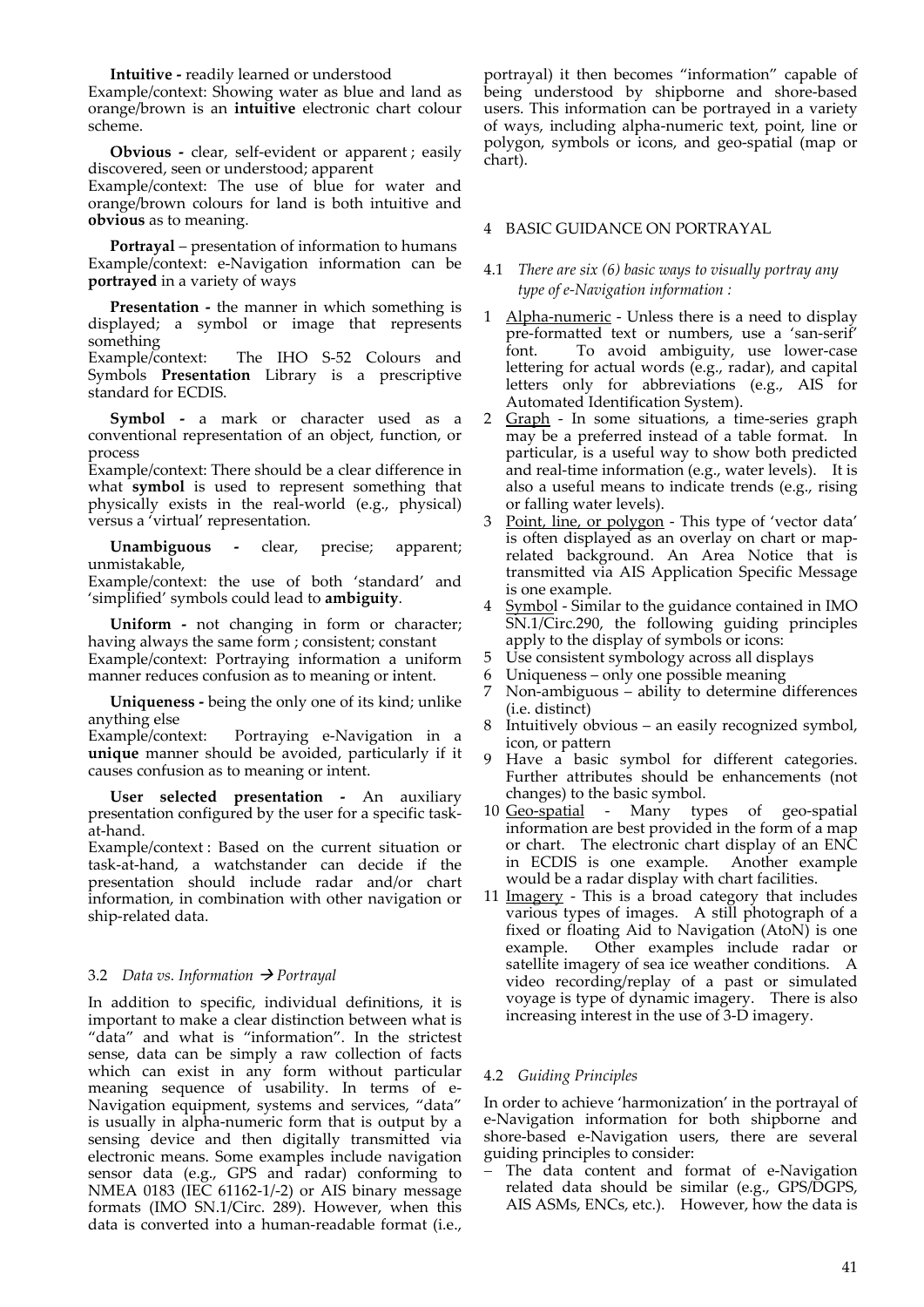**Intuitive ‐** readily learned or understood

Example/context: Showing water as blue and land as orange/brown is an **intuitive** electronic chart colour scheme.

**Obvious** - clear, self-evident or apparent; easily discovered, seen or understood; apparent

Example/context: The use of blue for water and orange/brown colours for land is both intuitive and **obvious** as to meaning.

**Portrayal** – presentation of information to humans Example/context: e‐Navigation information can be **portrayed** in a variety of ways

**Presentation** - the manner in which something is displayed; a symbol or image that represents something

Example/context: The IHO S-52 Colours and Symbols **Presentation** Library is a prescriptive standard for ECDIS.

**Symbol** - a mark or character used as a conventional representation of an object, function, or process

Example/context: There should be a clear difference in what **symbol** is used to represent something that physically exists in the real‐world (e.g., physical) versus a 'virtual' representation.

**Unambiguous ‐**  clear, precise; apparent; unmistakable,

Example/context: the use of both 'standard' and 'simplified' symbols could lead to **ambiguity**.

**Uniform** - not changing in form or character; having always the same form ; consistent; constant Example/context: Portraying information a uniform manner reduces confusion as to meaning or intent.

**Uniqueness ‐** being the only one of its kind; unlike

anything else<br>Example/context: Portraying e-Navigation in a **unique** manner should be avoided, particularly if it causes confusion as to meaning or intent.

**User selected presentation ‐**  An auxiliary presentation configured by the user for a specific task‐ at‐hand.

Example/context : Based on the current situation or task‐at‐hand, a watchstander can decide if the presentation should include radar and/or chart information, in combination with other navigation or ship‐related data.

# 3.2 *Data vs. Information Portrayal*

In addition to specific, individual definitions, it is important to make a clear distinction between what is "data" and what is "information". In the strictest sense, data can be simply a raw collection of facts which can exist in any form without particular meaning sequence of usability. In terms of e-Navigation equipment, systems and services, "data" is usually in alpha‐numeric form that is output by a sensing device and then digitally transmitted via electronic means. Some examples include navigation sensor data (e.g., GPS and radar) conforming to NMEA 0183 (IEC 61162‐1/‐2) or AIS binary message formats (IMO SN.1/Circ. 289). However, when this data is converted into a human‐readable format (i.e.,

portrayal) it then becomes "information" capable of being understood by shipborne and shore‐based users. This information can be portrayed in a variety of ways, including alpha‐numeric text, point, line or polygon, symbols or icons, and geo‐spatial (map or chart).

# 4 BASIC GUIDANCE ON PORTRAYAL

# 4.1 *There are six (6) basic ways to visually portray any type of e‐Navigation information :*

- 1 Alpha-numeric Unless there is a need to display pre‐formatted text or numbers, use a 'san‐serif' font. To avoid ambiguity, use lower-case lettering for actual words (e.g., radar), and capital letters only for abbreviations (e.g., AIS for Automated Identification System).
- 2 Graph In some situations, a time-series graph may be a preferred instead of a table format. In particular, is a useful way to show both predicted and real-time information (e.g., water levels). It is also a useful means to indicate trends (e.g., rising or falling water levels).
- 3 Point, line, or polygon This type of 'vector data' is often displayed as an overlay on chart or map‐ related background. An Area Notice that is transmitted via AIS Application Specific Message is one example.
- Symbol Similar to the guidance contained in IMO SN.1/Circ.290, the following guiding principles apply to the display of symbols or icons:
- 5 Use consistent symbology across all displays
- 6 Uniqueness only one possible meaning
- 7 Non‐ambiguous ability to determine differences (i.e. distinct)
- 8 Intuitively obvious an easily recognized symbol, icon, or pattern
- 9 Have a basic symbol for different categories. Further attributes should be enhancements (not changes) to the basic symbol.<br>Geo-spatial - Many typ
- 10 Geo-spatial Many types of geo-spatial information are best provided in the form of a map or chart. The electronic chart display of an ENC in ECDIS is one example. Another example would be a radar display with chart facilities.
- 11 Imagery This is a broad category that includes various types of images. A still photograph of a fixed or floating Aid to Navigation (AtoN) is one example. Other examples include radar or satellite imagery of sea ice weather conditions. A video recording/replay of a past or simulated voyage is type of dynamic imagery. There is also increasing interest in the use of 3‐D imagery.

# 4.2 *Guiding Principles*

In order to achieve 'harmonization' in the portrayal of e‐Navigation information for both shipborne and shore-based e-Navigation users, there are several guiding principles to consider:

The data content and format of e-Navigation related data should be similar (e.g., GPS/DGPS, AIS ASMs, ENCs, etc.). However, how the data is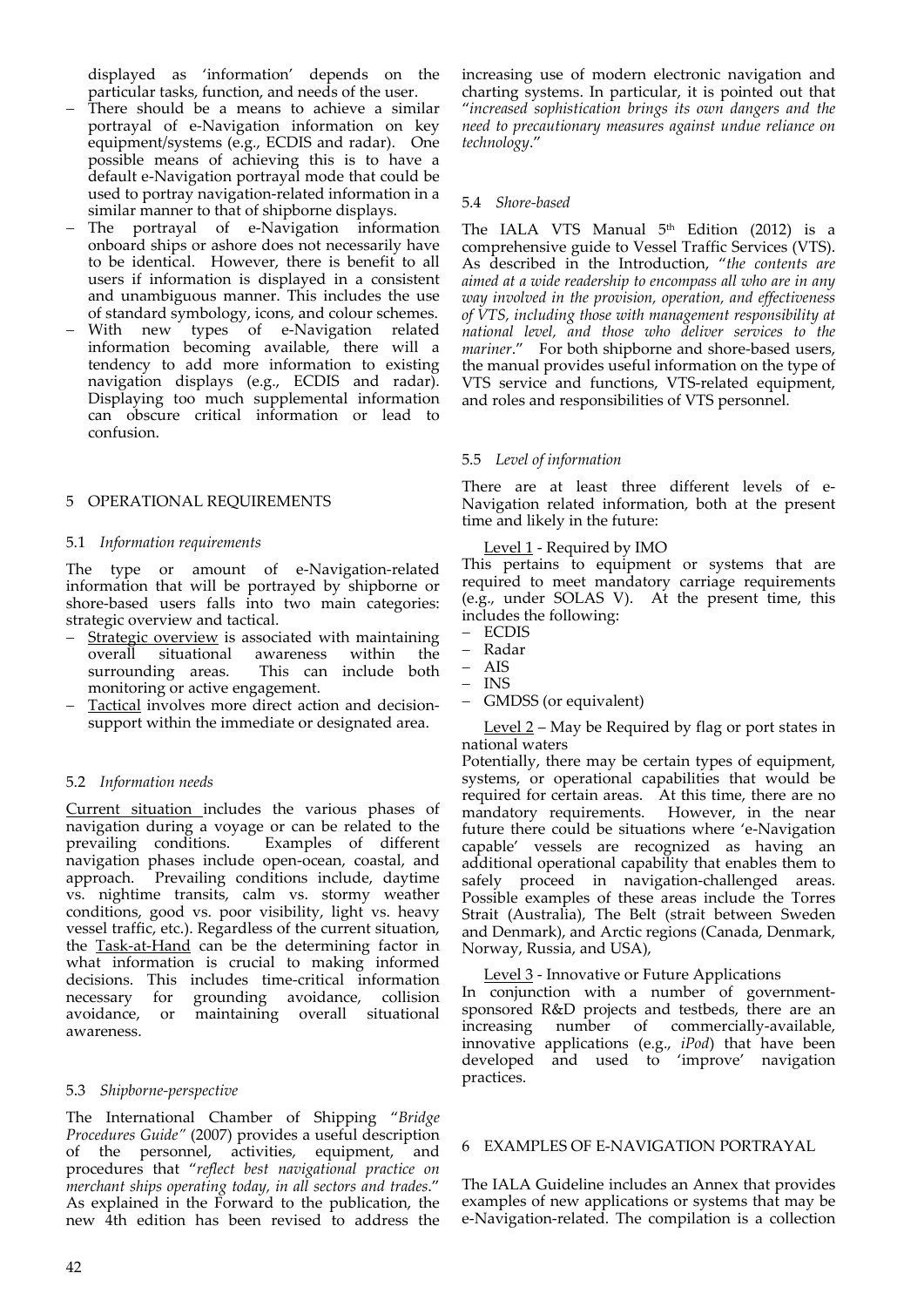displayed as 'information' depends on the particular tasks, function, and needs of the user.

- There should be a means to achieve a similar portrayal of e‐Navigation information on key equipment/systems (e.g., ECDIS and radar). One possible means of achieving this is to have a default e‐Navigation portrayal mode that could be used to portray navigation‐related information in a similar manner to that of shipborne displays.
- The portrayal of e-Navigation information onboard ships or ashore does not necessarily have to be identical. However, there is benefit to all users if information is displayed in a consistent and unambiguous manner. This includes the use of standard symbology, icons, and colour schemes.
- With new types of e-Navigation related information becoming available, there will a tendency to add more information to existing navigation displays (e.g., ECDIS and radar). Displaying too much supplemental information can obscure critical information or lead to confusion.

# 5 OPERATIONAL REQUIREMENTS

#### 5.1 *Information requirements*

The type or amount of e-Navigation-related information that will be portrayed by shipborne or shore-based users falls into two main categories: strategic overview and tactical.

- Strategic overview is associated with maintaining overall situational awareness within the<br>surrounding areas. This can include both This can include both monitoring or active engagement.
- Tactical involves more direct action and decision‐ support within the immediate or designated area.

#### 5.2 *Information needs*

Current situation includes the various phases of navigation during a voyage or can be related to the prevailing conditions. Examples of different navigation phases include open‐ocean, coastal, and approach. Prevailing conditions include, daytime vs. nightime transits, calm vs. stormy weather conditions, good vs. poor visibility, light vs. heavy vessel traffic, etc.). Regardless of the current situation, the Task‐at‐Hand can be the determining factor in what information is crucial to making informed decisions. This includes time‐critical information necessary for grounding avoidance, collision avoidance, or maintaining overall situational awareness.

#### 5.3 *Shipborne‐perspective*

The International Chamber of Shipping "*Bridge Procedures Guide"* (2007) provides a useful description of the personnel, activities, equipment, and procedures that "*reflect best navigational practice on merchant ships operating today, in all sectors and trades*." As explained in the Forward to the publication, the new 4th edition has been revised to address the

increasing use of modern electronic navigation and charting systems. In particular, it is pointed out that "*increased sophistication brings its own dangers and the need to precautionary measures against undue reliance on technology*."

#### 5.4 *Shore‐based*

The IALA VTS Manual  $5<sup>th</sup>$  Edition (2012) is a comprehensive guide to Vessel Traffic Services (VTS). As described in the Introduction, "*the contents are aimed at a wide readership to encompass all who are in any way involved in the provision, operation, and effectiveness of VTS, including those with management responsibility at national level, and those who deliver services to the* mariner." For both shipborne and shore-based users, the manual provides useful information on the type of VTS service and functions, VTS‐related equipment, and roles and responsibilities of VTS personnel.

# 5.5 *Level of information*

There are at least three different levels of e-Navigation related information, both at the present time and likely in the future:

#### Level 1 - Required by IMO

This pertains to equipment or systems that are required to meet mandatory carriage requirements (e.g., under SOLAS V). At the present time, this includes the following:

- ECDIS
- Radar
- AIS
- INS
- GMDSS (or equivalent)

Level 2 – May be Required by flag or port states in national waters

Potentially, there may be certain types of equipment, systems, or operational capabilities that would be required for certain areas. At this time, there are no mandatory requirements. However, in the near future there could be situations where 'e‐Navigation capable' vessels are recognized as having an additional operational capability that enables them to safely proceed in navigation-challenged areas. Possible examples of these areas include the Torres Strait (Australia), The Belt (strait between Sweden and Denmark), and Arctic regions (Canada, Denmark, Norway, Russia, and USA),

Level 3 - Innovative or Future Applications

In conjunction with a number of government‐ sponsored R&D projects and testbeds, there are an increasing number of commercially‐available, innovative applications (e.g., *iPod*) that have been developed and used to 'improve' navigation practices.

#### 6 EXAMPLES OF E‐NAVIGATION PORTRAYAL

The IALA Guideline includes an Annex that provides examples of new applications or systems that may be e‐Navigation‐related. The compilation is a collection